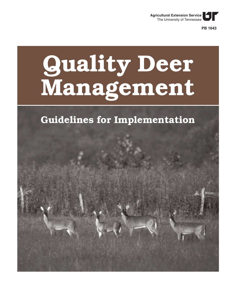

**PB 1643**

# **Quality Deer Management**

# **Guidelines for Implementation**

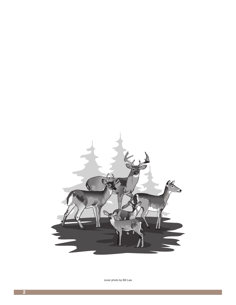

cover photo by Bill Lea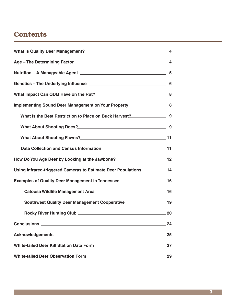### **Contents**

|                                                                                                                | 4  |
|----------------------------------------------------------------------------------------------------------------|----|
| Nutrition - A Manageable Agent 2008 2009 2009 2010 2020 2021 2022 2023 2024 2024 2022 2023 2024 2022 2023 2024 |    |
|                                                                                                                |    |
|                                                                                                                | 8  |
| Implementing Sound Deer Management on Your Property _____________________________ 8                            |    |
|                                                                                                                |    |
| What About Shooting Does?<br>Minat About Shooting Does?                                                        | 9  |
|                                                                                                                |    |
|                                                                                                                |    |
| How Do You Age Deer by Looking at the Jawbone? _________________________________12                             |    |
| Using Infrared-triggered Cameras to Estimate Deer Populations ___________ 14                                   |    |
|                                                                                                                |    |
|                                                                                                                |    |
| Southwest Quality Deer Management Cooperative ____________________ 19                                          |    |
|                                                                                                                |    |
|                                                                                                                | 24 |
|                                                                                                                | 25 |
|                                                                                                                | 27 |
|                                                                                                                | 29 |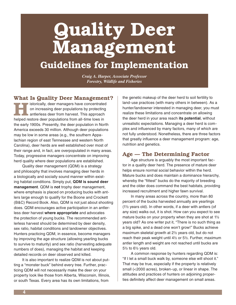# **Quality Deer Management**

## **Guidelines for Implementation**

*Craig A. Harper, Associate Professor Forestry, Wildlife and Fisheries*

**What Is Quality Deer Management?**

**Helped restorcially, deer managers have concentrated on increasing deer populations by protecting antierless deer from harvest. This approach helped restore deer populations from all-time lows in istorically, deer managers have concentrated**  on increasing deer populations by protecting antlerless deer from harvest. This approach the early 1900s. Presently, the deer population in North America exceeds 30 million. Although deer populations may be low in some areas (e.g., the southern Appalachian region of east Tennessee and western North Carolina), deer herds are well established over most of their range and, in fact, are overpopulated in many areas. Today, progressive managers concentrate on improving herd quality where deer populations are established.

Quality deer management (QDM) is a strategy and philosophy that involves managing deer herds in a biologically and socially sound manner within existing habitat conditions. Simply put, **QDM is sound deer management**. QDM is **not** trophy deer management, where emphasis is placed on producing bucks with antlers large enough to qualify for the Boone and Crockett (B&C) Record Book. Also, QDM is not just about shooting does. QDM encourages active participation in an antlerless deer harvest **where appropriate** and advocates the protection of young bucks. The recommended antlerless harvest should be determined by deer density, sex ratio, habitat conditions and landowner objectives. Hunters practicing QDM, in essence, become managers by improving the age structure (allowing yearling bucks to survive to maturity) and sex ratio (harvesting adequate numbers of does), managing the habitat and keeping detailed records on deer observed and killed.

It is also important to realize QDM is not about putting a "monster buck" behind every tree. Further, practicing QDM will not necessarily make the deer on your property look like those from Alberta, Wisconsin, Illinois, or south Texas. Every area has its own limitations, from

the genetic makeup of the deer herd to soil fertility to land-use practices (with many others in between). As a hunter/landowner interested in managing deer, you must realize these limitations and concentrate on allowing the deer herd in your area reach **its potential**, without unrealistic expectations. Managing a deer herd is complex and influenced by many factors, many of which are not fully understood. Nonetheless, there are three factors that greatly influence a deer management program: age, nutrition and genetics.

#### **Age — The Determining Factor**

Age structure is arguably the most important factor in a quality deer herd. The presence of mature deer helps ensure normal social behavior within the herd. Mature bucks and does maintain a dominance hierarchy, whereby the "fittest" bucks do the majority of breeding and the older does command the best habitats, providing increased recruitment and higher fawn survival.

In many areas across the country, more than 80 percent of the bucks harvested annually are yearlings (1½ years old). In other words, if a deer with antlers (of any size) walks out, it is shot. How can you expect to see mature bucks on your property when they are shot at 1½ years old? As one writer put it, "There is no such thing as a big spike, and a dead one won't grow!" Bucks achieve maximum skeletal growth at 2½ years old, but do not reach their peak weight until 4½ or 5½. Further, maximum antler length and weight are not reached until bucks are 5½ to 6½ years old.

A common response by hunters regarding QDM is: "If I let a small buck walk by, someone else will shoot it." That may be true, especially if the property is relatively small (<2000 acres), broken-up, or linear in shape. The attitudes and practices of hunters on adjoining properties definitely affect deer management on small areas.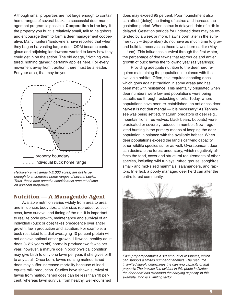Although small properties are not large enough to contain home ranges of several bucks, a successful deer management program is possible. **Cooperation is the key**. If the property you hunt is relatively small, talk to neighbors and encourage them to form a deer management cooperative. Many hunters/landowners have reported that when they began harvesting larger deer, QDM became contagious and adjoining landowners wanted to know how they could get in on the action. The old adage, "Nothing ventured, nothing gained," certainly applies here. For every movement away from tradition, there must be a leader. For your area, that may be you.



Relatively small areas (<2,000 acres) are not large enough to encompass home ranges of several bucks. Thus, these deer spend a considerable amount of time on adjacent properties.

#### **Nutrition — A Manageable Agent**

Available nutrition varies widely from area to area and influences body size, antler size, reproductive success, fawn survival and timing of the rut. It is important to realize body growth, maintenance and survival of an individual (buck or doe) takes precedence over antler growth, fawn production and lactation. For example, a buck restricted to a diet averaging 10 percent protein will not achieve optimal antler growth. Likewise, healthy adult does ( $\geq$  2½ years old) normally produce two fawns per year; however, a mature doe in poor physical condition may give birth to only one fawn per year, if she gives birth to any at all. Once born, fawns nursing malnourished does may suffer increased mortality because of inadequate milk production. Studies have shown survival of fawns from malnourished does can be less than 10 percent, whereas fawn survival from healthy, well-nourished

does may exceed 95 percent. Poor nourishment also can affect (delay) the timing of estrus and increase the gestation period. When estrus is delayed, date of birth is delayed. Gestation periods for underfed does may be extended by a week or more. Fawns born later in the summer (July – September) do not have as much time to grow and build fat reserves as those fawns born earlier (May  $-$  June). This influences survival through the first winter, the percentage of doe fawns that reproduce and antler growth of buck fawns the following year (as yearlings).

Providing adequate nutrition to the deer herd requires maintaining the population in balance with the available habitat. Often, this requires shooting does, which goes against tradition in some areas and has been met with resistance. This mentality originated when deer numbers were low and populations were being established through restocking efforts. Today, where populations have been re-established, an antlerless deer harvest is not detrimental — it is necessary! As Tennessee was being settled, "natural" predators of deer (e.g., mountain lions, red wolves, black bears, bobcats) were eradicated or severely reduced in number. Now, regulated hunting is the primary means of keeping the deer population in balance with the available habitat. When deer populations exceed the land's carrying capacity, other wildlife species suffer as well. Overabundant deer can decimate the forest understory, which negatively affects the food, cover and structural requirements of other species, including wild turkeys, ruffed grouse, songbirds, small- and mid-sized mammals, salamanders, and raptors. In effect, a poorly managed deer herd can alter the entire forest community.



Each property contains a set amount of resources, which can support a limited number of animals. The resource in limited supply determines the carrying capacity of that property. The browse line evident in this photo indicates the deer herd has exceeded the carrying capacity. In this example, food is a limiting factor.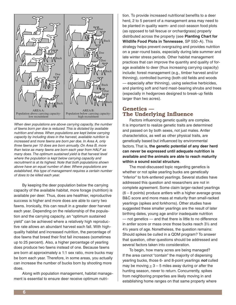

When deer populations are above carrying capacity, the number of fawns born per doe is reduced. This is dictated by available nutrition and stress. When populations are kept below carrying capacity by including does in the harvest, available nutrition is increased and more fawns are born per doe. In Area A, only three fawns per 10 does are born annually. On Area B, more than twice as many fawns are born each year from HALF as many does. The optimum sustained yield is that harvest level where the population is kept below carrying capacity and recruitment is at its highest. Note that both populations shown above have an equal number of deer. Where populations are established, this type of management requires a certain number of does to be killed each year.

By keeping the deer population below the carrying capacity of the available habitat, more forage (nutrition) is available per deer. Thus, does are healthier, reproductive success is higher and more does are able to carry two fawns. Ironically, this can result in a greater deer harvest each year. Depending on the relationship of the population and the carrying capacity, an "optimum sustained yield" can be achieved where a relatively high reproductive rate allows an abundant harvest each fall. With highquality habitat and increased nutrition, the percentage of doe fawns that breed their first fall increases (sometimes up to 25 percent). Also, a higher percentage of yearling does produce two fawns instead of one. Because fawns are born at approximately a 1:1 sex ratio, more bucks may be born each year. Therefore, in some areas, you actually can increase the number of bucks born by shooting more does.

Along with population management, habitat management is essential to ensure deer receive optimum nutrition. To provide increased nutritional benefits to a deer herd, 2 to 5 percent of a management area may need to be planted in quality warm- and cool-season food plots (as opposed to tall fescue or orchardgrass) properly distributed across the property (see **Planting Chart for Wildlife Food Plots in Tennessee**, SP 550-A). This strategy helps prevent overgrazing and provides nutrition on a year-round basis, especially during late summer and late winter stress periods. Other habitat management practices that can improve the quantity and quality of forage available to deer (thus increasing carrying capacity) include: forest management (e.g., timber harvest and/or thinning), controlled burning (both old fields and woods — especially after thinning), using selective herbicides, and planting soft and hard mast-bearing shrubs and trees (especially in hedgerows designed to break-up fields larger than two acres).

#### **Genetics — The Underlying Influence**

Factors influencing genetic quality are complex. It is important to realize genetic traits are determined and passed on by both sexes, not just males. Antler characteristics, as well as other physical traits, are genetically based but influenced by environmental factors. That is, **the genetic potential of any deer herd can never be expressed until adequate nutrition is available and the animals are able to reach maturity within a sound social structure**.

The most-discussed topic regarding genetics is whether or not spike yearling bucks are genetically "inferior" to fork-antlered yearlings. Several studies have addressed this question and researchers are not in complete agreement. Some claim larger-racked yearlings (6 – 8 points) produce antlers with a higher average gross B&C score and more mass at maturity than small-racked yearlings (spikes and forkhorns). Other studies have suggested these smaller yearlings are the result of later birthing dates, young age and/or inadequate nutrition — not genetics — and that there is little to no difference in antler score or mass once those bucks reach 3½ and 4½ years of age. Nonetheless, the question remains: Should spikes be culled in a QDM program? To answer that question, other questions should be addressed and several factors taken into consideration.

To begin, how many acres are being managed? If the area cannot "contain" the majority of dispersing yearling bucks, those 6- and 8-point yearlings **not** culled may be moving  $\geq$  3 – 5 miles away during or after the hunting season, never to return. Concurrently, spikes from neighboring properties are likely moving in and establishing home ranges on that same property where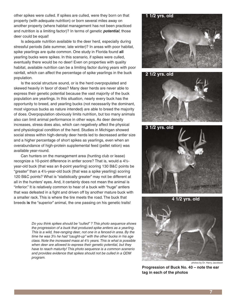other spikes were culled. If spikes are culled, were they born on that property (with adequate nutrition) or born several miles away on another property (where habitat management has not been practiced and nutrition is a limiting factor)? In terms of genetic **potential**, those deer could be equal!

Is adequate nutrition available to the deer herd, especially during stressful periods (late summer, late winter)? In areas with poor habitat, spike yearlings are quite common. One study in Florida found **all** yearling bucks were spikes. In this scenario, if spikes were culled, eventually there would be no deer! Even on properties with quality habitat, available nutrition can be a limiting factor during years with poor rainfall, which can affect the percentage of spike yearlings in the buck population.

Is the social structure sound, or is the herd overpopulated and skewed heavily in favor of does? Many deer herds are never able to express their genetic potential because the vast majority of the buck population are yearlings. In this situation, nearly every buck has the opportunity to breed, and yearling bucks (not necessarily the dominant, most vigorous bucks as nature intended) are able to breed the majority of does. Overpopulation obviously limits nutrition, but too many animals also can limit animal performance in other ways. As deer density increases, stress does also, which can negatively affect the physical and physiological condition of the herd. Studies in Michigan showed social stress within high-density deer herds led to decreased antler size and a higher percentage of short spikes as yearlings, even when an overabundance of high-protein supplemental feed (pellet ration) was available year-round.

Can hunters on the management area (hunting club or lease) recognize a 10-point difference in antler score? That is, would a 4½ year-old buck (that was an 8-point yearling) scoring 130 B&C points be "greater" than a 4½-year-old buck (that was a spike yearling) scoring 120 B&C points? What is "statistically greater" may not be different at all in the hunters' eyes. And, it certainly does not mean the animal is "inferior." It is relatively common to hear of a buck with "huge" antlers that was defeated in a fight and driven off by another mature buck with a smaller rack. This is where the tire meets the road. The buck that breeds **is** the "superior" animal, the one passing on his genetic traits!

> Do you think spikes should be "culled" ? This photo sequence shows the progression of a buck that produced spike antlers as a yearling. This is a wild, free-ranging deer, not one in a fenced-in area. By the time he was 3½ he had "caught-up" with the other bucks in his age class. Note the increased mass at 4½ years. This is what is possible when deer are allowed to express their genetic potential, but they have to reach maturity! This photo sequence is a common scenerio and provides evidence that spikes should not be culled in a QDM program.











**Progression of Buck No. 40 – note the ear tag in each of the photos**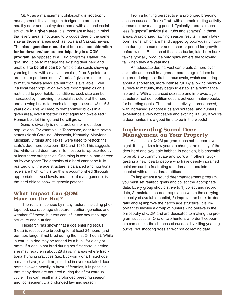QDM, as a management philosophy, is **not** trophy management. It is a program designed to promote healthy deer and healthy deer herds with a sound social structure **in a given area**. It is important to keep in mind that every area is not going to produce deer of the same size as those in areas such as Iowa and Saskatchewan. Therefore, **genetics should not be a real consideration for landowners/hunters participating in a QDM program** (as opposed to a TDM program). Rather, the goal should be to manage the existing deer herd and enable it **to be all it can be**. Ample data exists showing yearling bucks with small antlers (i.e., 2- or 3-pointers) are able to produce "quality" racks if given an opportunity to mature where adequate nutrition is available. Even if a local deer population exhibits "poor" genetics or is restricted to poor habitat conditions, buck size can be increased by improving the social structure of the herd and allowing bucks to reach older age classes  $(4\frac{1}{2} - 5\frac{1}{2})$ years old). This will lead to "better-sized" bucks in a given area, even if "better" is not equal to "Iowa-sized." Remember, let him go and he will grow.

Genetic diversity is not a problem for most deer populations. For example, in Tennessee, deer from seven states (North Carolina, Wisconsin, Kentucky, Maryland, Michigan, Virginia and Texas) were used to restock the state's deer herd between 1932 and 1985. This suggests the white-tailed deer herd in Tennessee is represented by at least three subspecies. One thing is certain, and agreed on by everyone: The genetics of a herd cannot be fully realized until the age structure is balanced and nutritional levels are high. Only after this is accomplished (through appropriate harvest levels and habitat management), is the herd able to show its genetic potential.

#### **What Impact Can QDM Have on the Rut?**

The rut is influenced by many factors, including photoperiod, sex ratio, age structure, nutrition, genetics and weather. Of these, hunters can influence sex ratio, age structure and nutrition.

Research has shown that a doe entering estrus (heat) is receptive to breeding for at least 24 hours (and perhaps longer if not bred during the first 24 hours). While in estrus, a doe may be tended by a buck for a day or more. If a doe is not bred during her first estrous period, she may recycle in about 28 days. In areas where traditional hunting practices (i.e., buck-only or a limited doe harvest) have, over time, resulted in overpopulated deer herds skewed heavily in favor of females, it is possible that many does are not bred during their first estrous cycle. This can result in a prolonged breeding season and, consequently, a prolonged fawning season.

From a hunting perspective, a prolonged breeding season causes a "trickle" rut, with sporadic rutting activity spread out over a long period. Typically, there is much less "signpost" activity (i.e., rubs and scrapes) in these areas. A prolonged fawning season results in many lateborn fawns, which are handicapped by poor-quality nutrition during late summer and a shorter period for growth before winter. Because of these setbacks, late-born buck fawns typically produce only spike antlers the following fall when they are yearlings.

An adequate doe harvest can create a more even sex ratio and result in a greater percentage of does being bred during their first estrous cycle, which can bring about a shortened, more intense rut. By allowing bucks to survive to maturity, they begin to establish a dominance hierarchy. With a balanced sex ratio and improved age structure, real competition occurs between mature bucks for breeding rights. Thus, rutting activity is pronounced, with increased signpost rubs and scrapes, and hunters experience a very noticeable and exciting rut. So, if you're a deer hunter, it's a good time to be in the woods!

#### **Implementing Sound Deer Management on Your Property**

A successful QDM program does not happen overnight. It may take a few years to change the quality of the deer herd and available habitat. In addition, it is essential to be able to communicate and work with others. Suggesting a new idea to people who have deeply ingrained opinions can be frustrating and demands persistence coupled with a considerate attitude.

To implement a sound deer management program, you must set realistic goals and collect the appropriate data. Every group should strive to 1) collect and record data, 2) maintain the deer population within the carrying capacity of available habitat, 3) improve the buck-to-doe ratio and 4) improve the herd's age structure. It is important to involve a group of hunters who believe in the philosophy of QDM and are dedicated to making the program successful. One or two hunters who don't cooperate can cripple the chances of success by killing yearling bucks, not shooting does and/or not collecting data.

**8**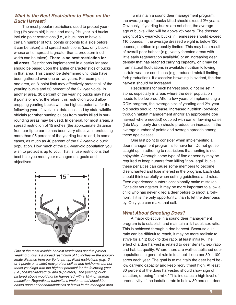#### **What is the Best Restriction to Place on the Buck Harvest?**

The most popular restrictions used to protect yearling (1½ years old) bucks and many 2½-year-old bucks include point restrictions (i.e., a buck has to have a certain number of total points or points to a side before it can be taken) and spread restrictions (i.e., only bucks whose antler spread is greater than a predetermined width can be taken). **There is no best restriction for all areas**. Restrictions implemented in a particular area should be based upon the antler characteristics of bucks in that area. This cannot be determined until data have been gathered over one or two years. For example, in one area, an 8-point limit may effectively protect all of the yearling bucks and 50 percent of the 2½-year-olds. In another area, 30 percent of the yearling bucks may have 8 points or more; therefore, this restriction would allow cropping yearling bucks with the highest potential for the following year. If available, data collected by state wildlife officials (or other hunting clubs) from bucks killed in surrounding areas may be used. In general, for most areas, a spread restriction of 15 inches (the approximate distance from ear tip to ear tip has been very effective in protecting more than 95 percent of the yearling bucks and, in some cases, as much as 40 percent of the 2½-year-old buck population. How much of the 2½-year-old population you wish to protect is up to you. That is, use restrictions that best help you meet your management goals and objectives.



One of the most reliable harvest restrictions used to protect yearling bucks is a spread restriction of 15 inches — the approximate distance from ear tip to ear tip. Point restrictions (e.g., 3 or 4 points on a side) may protect spikes and forkhorns, but not those yearlings with the highest potential for the following year (i.e., "basket-racked" 6- and 8-pointers). The yearling buck pictured above would not be harvested with a 15-inch spread restriction. Regardless, restrictions implemented should be based upon antler characteristics of bucks in the managed area.

To maintain a sound deer management program, the average age of bucks killed should exceed 2½ years. Obviously, if yearling bucks are not shot, the average age of bucks killed will be above 2½ years. The dressed weight of 2½-year-old bucks in Tennessee should exceed 110 pounds. If the average dressed weight is below 130 pounds, nutrition is probably limited. This may be a result of overall poor habitat (e.g., vastly forested areas with little early regeneration available) or an increasing deer density that has reached carrying capacity, or it may be from natural fluctuations in available nutrition following certain weather conditions (e.g., reduced rainfall limiting forb production). If excessive browsing is evident, the doe harvest should be increased.

Restrictions for buck harvest should not be set in stone, especially in areas where the deer population needs to be lowered. After a few years of implementing a QDM program, the average size of yearling and 2½-yearold bucks should increase. Increased nutrition (provided through habitat management and/or an appropriate doe harvest where needed) coupled with earlier fawning dates (late May – early June) should produce an increase in the average number of points and average spreads among these age classes.

One last point to consider when implementing a deer management program is to have fun! Do not get so caught up in adhering to restrictions that hunting is not enjoyable. Although some type of fine or penalty may be required to keep hunters from killing "non-legal" bucks, these penalties can cause some members to become disenchanted and lose interest in the program. Each club should think carefully when setting guidelines and rules. Even experienced hunters occasionally make mistakes. Consider youngsters. It may be more important to allow a child who has never killed a deer before to shoot a forkhorn, if it is the only opportunity, than to let the deer pass by. Only you can make that call.

#### **What About Shooting Does?**

A major objective in a sound deer management program is to establish and maintain a 1:1 adult sex ratio. This is achieved through a doe harvest. Because a 1:1 ratio can be difficult to reach, it may be more realistic to strive for a 1:2 buck to doe ratio, at least initially. The effect of a doe harvest is related to deer density, sex ratio and habitat quality. Where there are well-established deer populations, a general rule is to shoot 1 doe per 50 – 100 acres each year. The goal is to maintain the deer herd below carrying capacity and keep recruitment high. At least 80 percent of the does harvested should show sign of lactation, or being "in milk." This indicates a high level of productivity. If the lactation rate is below 80 percent, deer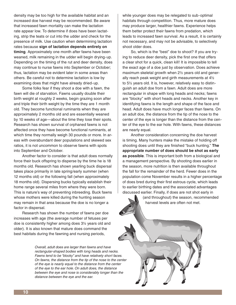density may be too high for the available habitat and an increased doe harvest may be recommended. Be aware that increased fawn mortality can make the lactation rate appear low. To determine if does have been lactating, strip the teats or cut into the udder and check for the presence of milk. Use caution when determining lactation rates because **sign of lactation depends entirely on timing**. Approximately one month after fawns have been weaned, milk remaining in the udder will begin drying-up. Depending on the timing of the rut and deer density, does may continue to nurse fawns into September or October; thus, lactation may be evident later in some areas than others. Be careful not to determine lactation is low by examining does that might have already dried-up.

Some folks fear if they shoot a doe with a fawn, the fawn will die of starvation. Fawns usually double their birth weight at roughly 2 weeks, begin grazing soon after and triple their birth weight by the time they are 1 month old. They become functional ruminants when they are approximately 2 months old and are essentially weaned by 10 weeks of age—about the time they lose their spots. Research has shown survival of orphaned fawns is not affected once they have become functional ruminants, at which time they normally weigh 30 pounds or more. In areas with overabundant deer populations and skewed sex ratios, it is not uncommon to observe fawns with spots into September and October.

Another factor to consider is that adult does normally force their buck offspring to disperse by the time he is 18 months old. Research has shown yearling buck dispersal takes place primarily in late spring/early summer (when 12 months old) or the following fall (when approximately 18 months old). Dispersing bucks typically establish their home range several miles from where they were born. This is nature's way of preventing inbreeding. Buck fawns whose mothers were killed during the hunting season may remain in that area because the doe is no longer a factor in dispersal.

Research has shown the number of fawns per doe increases with age (the average number of fetuses per doe is consistently higher among does 3½ years old and older). It is also known that mature does command the best habitats during the fawning and nursing periods,

> Overall, adult does are larger than fawns and have rectangular-shaped bodies with long heads and necks. Fawns tend to be "blocky" and have relatively short faces. On fawns, the distance from the tip of the nose to the center of the eye is nearly equal to the distance from the center of the eye to the ear hole. On adult does, the distance between the eye and nose is considerably longer than the distance between the eye and the ear.

while younger does may be relegated to sub-optimal habitats through competition. Thus, more mature does may produce larger, healthier fawns. Experience helps them better protect their fawns from predation, which leads to increased fawn survival. As a result, it is certainly not necessary, and may not be advisable, to selectively shoot older does.

So, which is the "best" doe to shoot? If you are trying to reduce deer density, pick the first one that offers a clear shot for a quick, clean kill! It is impossible to tell the exact age of a doe just by observation. Does achieve maximum skeletal growth when 2½ years old and generally reach peak weight and girth measurements at 4½ to 5½ years old. It is, however, relatively easy to distinguish an adult doe from a fawn. Adult does are more rectangular in shape with long heads and necks; fawns are "blocky" with short heads and necks. Another key in identifying fawns is the length and shape of the face and head. Adult does have much longer faces than fawns. On an adult doe, the distance from the tip of the nose to the center of the eye is longer than the distance from the center of the eye to the ear hole. With fawns, these distances are nearly equal.

Another consideration concerning the doe harvest is timing. Many hunters make the mistake of holding off shooting does until they are finished "buck hunting." The **appropriate number of does should be shot as early as possible**. This is important both from a biological and a management perspective. By shooting does earlier in the season, more nutrition is then available throughout the fall for the remainder of the herd. Fewer does in the population come November results in a higher percentage of does bred during their first estrous cycle, which leads to earlier birthing dates and the associated advantages discussed earlier. Finally, if does are not shot early in

> (and throughout) the season, recommended harvest levels are often not met.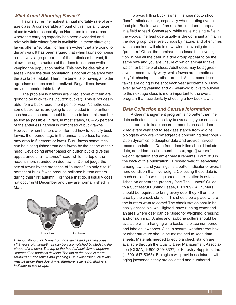#### **What About Shooting Fawns?**

Fawns suffer the highest annual mortality rate of any age class. A considerable amount of this mortality takes place in winter, especially up North and in other areas where the carrying capacity has been exceeded and relatively little winter food is available. In these situations, fawns offer a "surplus" for hunters—deer that are going to die anyway. It has been argued that when fawns comprise a relatively large proportion of the antlerless harvest, it allows the age structure of the does to increase while keeping the population stable. This may be desirable in areas where the deer population is not out of balance with the available habitat. Then, the benefits of having an older age-class of does can be realized. Regardless, fawns provide superior table fare!

The problem is if fawns are killed, some of them are going to be buck fawns ("button bucks"). This is not desirable from a buck recruitment point of view. Nonetheless, some buck fawns are going to be included in the antlerless harvest, so care should be taken to keep this number as low as possible. In fact, in most states, 20 – 25 percent of the antlerless harvest is comprised of buck fawns. However, when hunters are informed how to identify buck fawns, their percentage in the annual antlerless harvest may drop to 5 percent or lower. Buck fawns sometimes can be distinguished from doe fawns by the shape of their head. Developing antler bases on button bucks give the appearance of a "flattened" head, while the top of the head is more rounded on doe fawns. Do not judge the sex of fawns by the presence of "buttons," as only 5 to 10 percent of buck fawns produce polished button antlers during their first autumn. For those that do, it usually does not occur until December and they are normally shed in March.



Distinguishing buck fawns from doe fawns and yearling does  $(1<sup>1</sup>/<sub>2</sub>$  years old) sometimes can be accomplished by studying the shape of the head. The top of the head of buck fawns appears "flattened" as pedicels develop. The top of the head is more rounded on doe fawns and yearlings. Be aware that buck fawns may be larger than doe fawns; therefore, size is not always an indicator of sex or age.

To avoid killing buck fawns, it is wise not to shoot "lone" antlerless deer, especially when hunting over a food plot. Buck fawns often are the first deer to appear in a field to feed. Conversely, while traveling single-file in the woods, the lead doe usually is the dominant animal in the doe group. Deer are curious by nature, and oftentimes when spooked, will circle downwind to investigate the "problem." Often, the dominant doe leads this investigation. When all the deer in a doe group appear to be the same size and you are unsure of which animal to take, watch for behavioral clues. Adult does may be aggressive, or seem overly wary, while fawns are sometimes playful, chasing each other around. Again, some buck fawns are going to be shot each year accidentally. However, allowing yearling and 2½-year-old bucks to survive to the next age class is more important to the overall program than accidentally shooting a few buck fawns.

#### **Data Collection and Census Information**

A deer management program is no better than the data collected — it is the key to evaluating your success. It is important to keep accurate records on each deer killed every year and to seek assistance from wildlife biologists who are knowledgeable concerning deer population dynamics to decipher data and provide harvest recommendations. Data from deer killed should include date, deer identification number, sex, age (jawbone), weight, lactation and antler measurements (Form 813 in the back of this publication). Dressed weight, especially among fawns and yearlings, is a better indicator of overall herd condition than live weight. Collecting these data is much easier if a well-equipped check station is established on or near the property (see The Hunters' Guide to a Successful Hunting Lease, PB 1709). All hunters should be required to bring every deer they kill on the area by the check station. This should be a place where the hunters want to come! The check station should be easily accessible, well-lighted, have running water and an area where deer can be raised for weighing, dressing and/or skinning. Scales and jawbone pullers should be available with a hanging wire basket to place numbered and labeled jawbones. Also, a secure, weatherproof box or other structure should be maintained to keep data sheets. Materials needed to equip a check station are available through the Quality Deer Management Association (QDMA; 1-800-209-3337) or Forestry Suppliers, Inc. (1-800-647-5368). Biologists will provide assistance with aging jawbones if they are collected and numbered.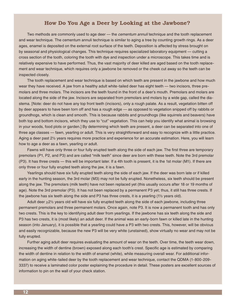#### **How Do You Age a Deer by Looking at the Jawbone?**

Two methods are commonly used to age deer — the *cementum annuli* technique and the tooth replacement and wear technique. The cementum annuli technique is similar to aging a tree by counting growth rings. As a deer ages, enamel is deposited on the external root surface of the teeth. Deposition is affected by stress brought on by seasonal and physiological changes. This technique requires specialized laboratory equipment — cutting a cross section of the tooth, coloring the tooth with dye and inspection under a microscope. This takes time and is relatively expensive to have performed. Thus, the vast majority of deer killed are aged based on the tooth replacement and wear technique, which requires only a jawbone be removed or the cheek cut away so the teeth can be inspected closely.

The tooth replacement and wear technique is based on which teeth are present in the jawbone and how much wear they have received. A jaw from a healthy adult white-tailed deer has eight teeth — two incisors, three premolars and three molars. The incisors are the teeth found in the front of a deer's mouth. Premolars and molars are located along the side of the jaw. Incisors are separated from premolars and molars by a wide gap, called the diastema. [Note: deer do not have any top front teeth (incisors), only a rough palate. As a result, vegetation bitten off by deer appears to have been torn off and has a rough edge — as opposed to vegetation snipped off by rabbits or groundhogs, which is clean and smooth. This is because rabbits and groundhogs (like squirrels and beavers) have both top and bottom incisors, which they use to "cut" vegetation. This can help you identify what animal is browsing in your woods, food plots or garden.] By determining which teeth are present, a deer can be separated into one of three age classes — fawn, yearling or adult. This is very straightforward and easy to recognize with a little practice. Aging a deer past 2½ years requires more practice and experience for an accurate estimation. Here, you will learn how to age a deer as a fawn, yearling or adult.

Fawns will have only three or four fully erupted teeth along the side of each jaw. The first three are temporary premolars (P1, P2, and P3) and are called "milk teeth" since deer are born with these teeth. Note the 3rd premolar (P3). It has three crests — this will be important later. If a 4th tooth is present, it is the 1st molar (M1). If there are only three or four fully erupted teeth along the jaw, it is a fawn.

Yearlings should have six fully erupted teeth along the side of each jaw. If the deer was born late or if killed early in the hunting season, the 3rd molar (M3) may not be fully erupted. Nonetheless, six teeth should be present along the jaw. The premolars (milk teeth) have not been replaced yet (this usually occurs after 18 or 19 months of age). Note the 3rd premolar (P3). It has not been replaced by a permanent P3 yet; thus, it still has three crests. If the jawbone has six teeth along the side and P3 has three crests, it is a yearling (1½ years old).

Adult deer >2½ years old will have six fully erupted teeth along the side of each jawbone, including three permanent premolars and three permanent molars. Once again, note P3. It is now a permanent tooth and has only two crests. This is the key to identifying adult deer from yearlings. If the jawbone has six teeth along the side and P3 has two crests, it is (most likely) an adult deer. If the animal was an early-born fawn or killed late in the hunting season (into January), it is possible that a yearling could have a P3 with two crests. This, however, will be obvious and easily recognizable, because the new P3 will be very white (unstained), show virtually no wear and may not be fully erupted.

Further aging adult deer requires evaluating the amount of wear on the teeth. Over time, the teeth wear down, increasing the width of dentine (brown) exposed along each tooth's crest. Specific age is estimated by comparing the width of dentine in relation to the width of enamel (white), while measuring overall wear. For additional information on aging white-tailed deer by the tooth replacement and wear technique, contact the QDMA (1-800-209- 3337) to receive a laminated color poster explaining the procedure in detail. These posters are excellent sources of information to pin on the wall of your check station.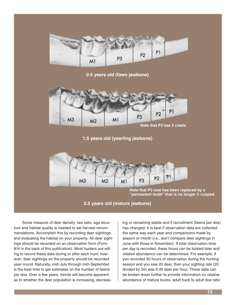

**0.5 years old (fawn jawbone)**



**1.5 years old (yearling jawbone)**



Note that P3 now has been replaced by a **"permanent tooth" that is no longer 3-cusped**

#### **2.5 years old (mature jawbone)**

Some measure of deer density, sex ratio, age structure and habitat quality is needed to set harvest recommendations. Accomplish this by recording deer sightings and evaluating the habitat on your property. All deer sightings should be recorded on an observation form (Form 814 in the back of this publication). Most hunters are willing to record these data during or after each hunt; however, deer sightings on the property should be recorded year-round. Naturally, mid-July through mid-September is the best time to get estimates on the number of fawns per doe. Over a few years, trends will become apparent as to whether the deer population is increasing, decreas-

ing or remaining stable and if recruitment (fawns per doe) has changed. It is best if observation data are collected the same way each year and comparisons made by season or month (i.e., don't compare deer sightings in June with those in November). If total observation time per day is recorded, these hours can be totaled later and relative abundance can be determined. For example, if you recorded 50 hours of observation during the hunting season and you saw 20 deer, then your sighting rate (20 divided by 50) was 0.40 deer per hour. These data can be broken down further to provide information on relative abundance of mature bucks, adult buck to adult doe ratio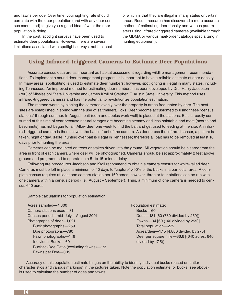and fawns per doe. Over time, your sighting rate should correlate with the deer population (and with any deer census conducted) to give you a good idea of what the deer population is doing.

In the past, spotlight surveys have been used to estimate deer populations. However, there are several limitations associated with spotlight surveys, not the least of which is that they are illegal in many states or certain areas. Recent research has discovered a more accurate method of estimating deer density and various parameters using infrared-triggered cameras (available through the QDMA or various mail-order catalogs specializing in hunting equipment).

#### **Using Infrared-triggered Cameras to Estimate Deer Populations**

Accurate census data are as important as habitat assessment regarding wildlife management recommendations. To implement a sound deer management program, it is important to have a reliable estimate of deer density. In many areas, spotlighting is used to estimate deer numbers; however, spotlighting is illegal in many states, including Tennessee. An improved method for estimating deer numbers has been developed by Drs. Harry Jacobson (ret.) of Mississippi State University and James Kroll of Stephen F. Austin State University. This method uses infrared-triggered cameras and has the potential to revolutionize population estimation.

The method works by placing the cameras evenly over the property in areas frequented by deer. The best sites are established in spring with the use of salt/mineral licks. Deer become accustomed to using these "census stations" through summer. In August, bait (corn and apples work well) is placed at the stations. Bait is readily consumed at this time of year because natural forages are becoming stemmy and less palatable and mast (acorns and beechnuts) has not begun to fall. Allow deer one week to find the bait and get used to feeding at the site. An infrared-triggered camera is then set with the bait in front of the camera. As deer cross the infrared sensor, a picture is taken, night or day. [Note: hunting over bait is illegal in Tennessee; therefore all bait has to be removed at least 10 days prior to hunting the area.]

Cameras can be mounted on trees or stakes driven into the ground. All vegetation should be cleared from the area in front of each camera where deer will be photographed. Cameras should be set approximately 2 feet above ground and programmed to operate on a 5- to 15-minute delay.

Following are procedures Jacobson and Kroll recommend to obtain a camera census for white-tailed deer. Cameras must be left in place a minimum of 10 days to "capture" >90% of the bucks in a particular area. A complete census requires at least one camera station per 160 acres; however, three or four stations can be run with one camera within a census period (i.e., August – September). Thus, a minimum of one camera is needed to census 640 acres.

Sample calculations for population estimation:

Acres sampled—4,800 Camera stations used—31 Census period—mid-July – August 2001 Photographs of deer—1,021 Buck photographs—259 Doe photographs—780 Fawn photographs—146 Individual Bucks—60 Buck-to-Doe Ratio (excluding fawns)—1:3 Fawns per Doe—0.19

Population estimate: Bucks—60 Does—181 [60 (780 divided by 259)] Fawns—34 [60 (146 divided by 259)] Total population—275 Acres/deer—17.5 [4,800 divided by 275] Deer per square mile—36.6 [(640 acres; 640 divided by 17.5)]

 Accuracy of this population estimate hinges on the ability to identify individual bucks (based on antler characteristics and various markings) in the pictures taken. Note the population estimate for bucks (see above) is used to calculate the number of does and fawns.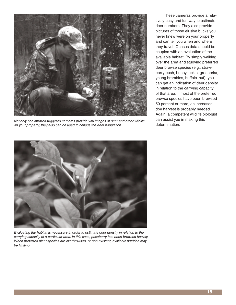

Not only can infrared-triggered cameras provide you images of deer and other wildlife on your property, they also can be used to census the deer population.

These cameras provide a relatively easy and fun way to estimate deer numbers. They also provide pictures of those elusive bucks you never knew were on your property and can tell you when and where they travel! Census data should be coupled with an evaluation of the available habitat. By simply walking over the area and studying preferred deer browse species (e.g., strawberry bush, honeysuckle, greenbriar, young brambles, buffalo-nut), you can get an indication of deer density in relation to the carrying capacity of that area. If most of the preferred browse species have been browsed 50 percent or more, an increased doe harvest is probably needed. Again, a competent wildlife biologist can assist you in making this determination.



Evaluating the habitat is necessary in order to estimate deer density in relation to the carrying capacity of a particular area. In this case, pokeberry has been browsed heavily. When preferred plant species are overbrowsed, or non-existent, available nutrition may be limiting.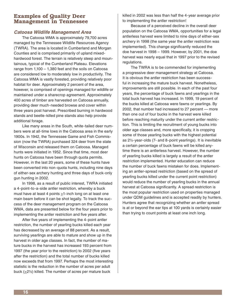#### **Examples of Quality Deer Management in Tennessee**

#### **Catoosa Wildlife Management Area**

The Catoosa WMA is approximately 79,700 acres managed by the Tennessee Wildlife Resources Agency (TWRA). The area is located in Cumberland and Morgan Counties and is comprised primarily of upland mixedhardwood forest. The terrain is relatively steep and mountainous, typical of the Cumberland Plateau. Elevations range from 1,100 – 1,380 feet and the soils on Catoosa are considered low to moderately low in productivity. The Catoosa WMA is vastly forested, providing relatively poor habitat for deer. Approximately 2 percent of the area, however, is comprised of openings managed for wildlife or maintained under a sharecrop agreement. Approximately 400 acres of timber are harvested on Catoosa annually, providing deer much-needed browse and cover within three years post harvest. Prescribed burning in hardwood stands and beetle-killed pine stands also help provide additional forage.

Like many areas in the South, white-tailed deer numbers were at all-time lows in the Catoosa area in the early 1900s. In 1942, the Tennessee Game and Fish Commission (now the TWRA) purchased 324 deer from the state of Wisconsin and released them on Catoosa. Managed hunts were initiated in 1952. Since that time, most deer hunts on Catoosa have been through quota permits. However, in the last 20 years, some of these hunts have been converted into non-quota hunts, including nine days of either-sex archery hunting and three days of buck-only gun hunting in 2002.

In 1998, as a result of public interest, TWRA initiated a 4-point-to-a-side antler restriction, whereby a buck must have at least 4 points >1-inch long on at least one main beam before it can be shot legally. To track the success of the deer management program on the Catoosa WMA, data are presented below for the four years prior to implementing the antler restriction and five years after.

After five years of implementing the 4-point antler restriction, the number of yearling bucks killed each year has decreased by an average of 88 percent. As a result, surviving yearlings are able to mature and show up in the harvest in older age classes. In fact, the number of mature bucks in the harvest has increased 193 percent from 1997 (the year prior to the restriction) to 2002 (five years after the restriction) and the total number of bucks killed now exceeds that from 1997. Perhaps the most interesting statistic is the reduction in the number of acres per adult buck (>2½) killed. The number of acres per mature buck

killed in 2002 was less than half the 4-year average prior to implementing the antler restriction!

Because of a perceived decline in the overall deer population on the Catoosa WMA, opportunities for a legal antlerless harvest were limited to nine days of either-sex archery in 1998 (the same year the antler restriction was implemented). This change significantly reduced the doe harvest in 1998 – 1999. However, by 2001, the doe harvest was nearly equal that in 1997 prior to the revised regulations.

The TWRA is to be commended for implementing a progressive deer management strategy at Catoosa. It is obvious the antler restriction has been successful in increasing the mature buck harvest. Nonetheless, improvements are still possible. In each of the past four years, the percentage of buck fawns and yearlings in the total buck harvest has increased. In 1999, 19 percent of the bucks killed at Catoosa were fawns or yearlings. By 2002, that number had increased to 27 percent — more than one out of four bucks in the harvest were killed before reaching maturity under the current antler restriction. This is limiting the recruitment of young bucks into older age classes and, more specifically, it is cropping some of those yearling bucks with the highest potential as 2½-year-olds (7- and 8-point yearlings). It is inevitable a certain percentage of buck fawns will be killed anytime there is an antlerless harvest. However, the number of yearling bucks killed is largely a result of the antler restriction implemented. Hunter education can reduce the number of buck fawns mistaken for does. Implementing an antler-spread restriction (based on the spread of yearling bucks killed under the current point restriction) would reduce the number of yearling bucks in the annual harvest at Catoosa significantly. A spread restriction is the most popular restriction used on properties managed under QDM guidelines and is accepted readily by hunters. Hunters agree that recognizing whether an antler spread is at or beyond the ear tips at 100 yards is certainly easier than trying to count points at least one inch long.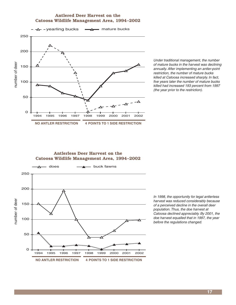#### **Antlered Deer Harvest on the Catoosa Wildlife Management Area, 1994–2002**



Under traditional management, the number of mature bucks in the harvest was declining annually. After implementing an antler-point restriction, the number of mature bucks killed at Catoosa increased sharply. In fact, five years later the number of mature bucks killed had increased 193 percent from 1997 (the year prior to the restriction).

#### **Antlerless Deer Harvest on the Catoosa Wildlife Management Area, 1994–2002**



In 1998, the opportunity for legal antlerless harvest was reduced considerably because of a perceived decline in the overall deer population. Thus, the doe harvest at Catoosa declined appreciably. By 2001, the doe harvest equalled that in 1997, the year before the regulations changed.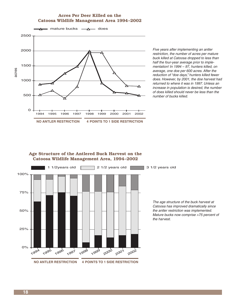#### **Acres Per Deer Killed on the Catoosa Wildlife Management Area 1994–2002**



Five years after implementing an antler restriction, the number of acres per mature buck killed at Catoosa dropped to less than half the four-year average prior to implementation! In 1994 – 97, hunters killed, on average, one doe per 600 acres. After the reduction of "doe days," hunters killed fewer does. However, by 2001, the doe harvest had returned to where it was in 1997. Unless an increase in population is desired, the number of does killed should never be less than the number of bucks killed.

#### **Age Structure of the Antlered Buck Harvest on the Catoosa Wildlife Management Area, 1994–2002**



The age structure of the buck harvest at Catoosa has improved dramatically since the antler restriction was implemented. Mature bucks now comprise >75 percent of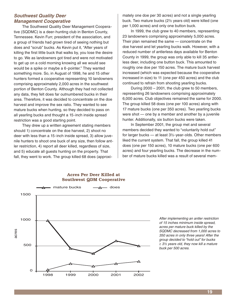#### **Southwest Quality Deer Management Cooperative**

The Southwest Quality Deer Management Cooperative (SQDMC) is a deer-hunting club in Benton County, Tennessee. Kevin Furr, president of the association, and a group of friends had grown tired of seeing nothing but does and "scrub" bucks. As Kevin put it, "After years of killing the first little buck that walks by, you lose the desire to go. We as landowners got tired and were not motivated to get up on a cold morning knowing all we would see would be a spike or maybe a 6-pointer." They wanted something more. So, in August of 1998, he and 15 other hunters formed a cooperative representing 10 landowners comprising approximately 2,000 acres in the southwest portion of Benton County. Although they had not collected any data, they felt does far outnumbered bucks in their area. Therefore, it was decided to concentrate on the doe harvest and improve the sex ratio. They wanted to see mature bucks when hunting, so they decided to pass on all yearling bucks and thought a 15-inch inside spread restriction was a good starting point.

They drew up a written agreement stating members should 1) concentrate on the doe harvest, 2) shoot no deer with less than a 15-inch inside spread, 3) allow juvenile hunters to shoot one buck of any size, then follow antler restriction, 4) report all deer killed, regardless of size, and 5) educate all guests hunting on the property. That fall, they went to work. The group killed 68 does (approxi-

mately one doe per 30 acres) and not a single yearling buck. Two mature bucks (2½ years old) were killed (one per 1,000 acres) and only one button buck.

In 1999, the club grew to 40 members, representing 23 landowners comprising approximately 5,000 acres. Their plan remained the same — concentrate on the doe harvest and let yearling bucks walk. However, with a reduced number of antlerless days available for Benton County in 1999, the group was only able to kill 35 antlerless deer, including one button buck. This amounted to roughly one doe per 150 acres. The mature buck harvest increased (which was expected because the cooperative increased in size) to 11 (one per 450 acres) and the club continued to refrain from shooting yearling bucks.

During 2000 – 2001, the club grew to 50 members, representing 26 landowners comprising approximately 6,000 acres. Club objectives remained the same for 2000. The group killed 58 does (one per 100 acres) along with 17 mature bucks (one per 350 acres). Two yearling bucks were shot — one by a member and another by a juvenile hunter. Additionally, six button bucks were taken.

In September 2001, the group met and several members decided they wanted to "voluntarily hold out" for larger bucks — at least 3½-year-olds. Other members liked the current system. That fall, the group killed 41 does (one per 150 acres), 10 mature bucks (one per 600 acres) and four yearling bucks. The decrease in the number of mature bucks killed was a result of several mem-



#### **Acres Per Deer Killed at Southwest QDM Cooperative**

After implementing an antler restriction of 15 inches minimum inside spread, acres per mature buck killed by the SQDMC decreased from 1,000 acres to 350 acres in only three years! After the group decided to "hold out" for bucks  $\geq$  3½ years old, they now kill a mature buck per 500 acres.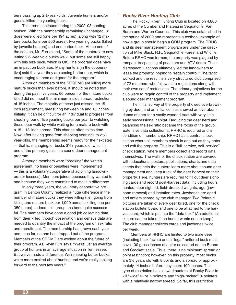bers passing up 2½-year-olds. Juvenile hunters and/or guests killed the yearling bucks.

This trend continued during the 2002-03 hunting season. With the membership remaining unchanged, 31 does were killed (one per 194 acres), along with 12 mature bucks (one per 500 acres), two yearling bucks (killed by juvenile hunters) and one button buck. At the end of the season, Mr. Furr stated, "Some of the hunters are now letting 2½ -year-old bucks walk, but some are still happy with this size buck, which is OK. The program does have an impact on buck size. Many hunters [in the cooperative] said this year they are seeing better deer, which is encouraging to them and good for the program."

Although members of the SEQDMC are killing more mature bucks than ever before, it should be noted that during the past five years, 60 percent of the mature bucks killed did not meet the minimum inside spread restriction of 15 inches. The majority of these just missed the 15 inch requirement, measuring between 14 and 15 inches. Initially, it can be difficult for an individual to progress from shooting four or five yearling bucks per year to watching these deer walk by while waiting for a mature buck with a 15 – 18-inch spread. This change often takes time. Now, after having gone from shooting yearlings to 2½ year-olds, the membership seems ready for the next step — that is, managing for bucks  $3\frac{1}{2}$  years old, which is one of the primary goals in a sound deer management program.

Although members were "breaking" the written agreement, no fines or penalties were implemented — this is a voluntary cooperative of adjoining landowners (or lessees). Members joined because they wanted to and because they were committed to make a difference.

In only three years, the voluntary cooperative program in Benton County realized a huge difference in the number of mature bucks they were killing (i.e., going from killing one mature buck per 1,000 acres to killing one per 350 acres). Indeed, this group has been quite successful. The members have done a good job collecting data from deer killed, though observation and census data are needed to quantify the impact of the program on sex ratio and recruitment. The membership has grown each year and, thus far, no one has dropped out of the program. Members of the SQDMC are excited about the future of their program. As Kevin Furr says, "We're just an average group of hunters in an average situation in Tennessee. But we've made a difference. We're seeing better bucks, we're more excited about hunting and we're really looking forward to the next few years."

#### **Rocky River Hunting Club**

The Rocky River Hunting Club is located on 4,800 acres of the Cumberland Plateau in Sequatchie, Van Buren and Warren Counties. This club was established in the spring of 2000 and represents a textbook example of how a group should begin a QDM program. The RRHC and its deer management program are under the direction of Mike Black, R.F., Sequatchie Forest and Wildlife. Before RRHC was formed, the property was plagued by rampant trespassing of poachers and ATV riders. Their disrespectful actions ultimately led the landowners to lease the property, hoping to "regain control." The tactic worked and the result is a very structured club comprised of 72 members who follow state regulations along with their own set of restrictions. The primary objectives for the club were to regain control of the property and implement a sound deer management program.

The initial survey of the property showed overbrowsing by deer, and an initial census showed an overabundance of deer for a vastly wooded tract with very little early successional habitat. Reducing the deer herd and balancing the sex ratio became the focus of the group. Extensive data collection at RRHC is required and a condition of membership. RRHC has a central check station where all members check in and out as they enter and exit the property. This is a "full-service, self-service" check station, where members collect and record data themselves. The walls of the check station are covered with educational posters, publications, charts and data sheets that help the hunters learn more about sound deer management and keep track of the deer harvest on their property. Here, hunters are required to fill out deer sighting cards and record post-harvest data, including hours hunted, deer sighted, field-dressed weights, age (jawbone removal) and lactation rates. Jawbones are aged and antlers scored by the club manager. Two Polaroid pictures are taken of every deer killed, one for the check station bulletin board and one to be attached to the harvest card, which is put into the "data box." (An additional picture can be taken if the hunter wants one to keep.) The club manager collects cards and jawbones twice per week.

Members at RRHC are limited to two male deer (including buck fawns) and a "legal" antlered buck must have 100 gross inches of antler as scored on the Boone and Crockett scale. Thus, there is no minimum spread or point restriction; however, on this property, most bucks are 3½ years old with 8 points and a spread of approximately 14 inches before they score 100 inches. This type of restriction has allowed hunters at Rocky River to kill "wide" 6- or 7-pointers and "high-racked" 8-pointers with a relatively narrow spread. So far, this restriction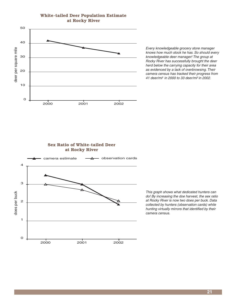#### **White-tailed Deer Population Estimate at Rocky River**



Every knowledgeable grocery store manager knows how much stock he has. So should every knowledgeable deer manager! The group at Rocky River has successfully brought the deer herd below the carrying capacity for their area as evidenced by a lack of overbrowsing. Their camera census has tracked their progress from 41 deer/mi<sup>2</sup> in 2000 to 33 deer/mi<sup>2</sup> in 2002.



This graph shows what dedicated hunters can do! By increasing the doe harvest, the sex ratio at Rocky River is now two does per buck. Data collected by hunters (observation cards) while hunting virtually mirrors that identified by their camera census.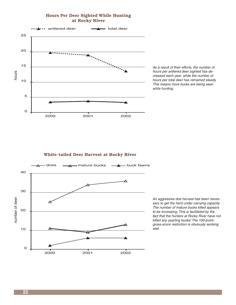#### **Hours Per Deer Sighted While Hunting at Rocky River**



As a result of their efforts, the number of hours per antlered deer sighted has decreased each year, while the number of hours per total deer has remained steady. This means more bucks are being seen while hunting.

#### **White-tailed Deer Harvest at Rocky River**



An aggressive doe harvest has been necessary to get the herd under carrying capacity. The number of mature bucks killed appears to be increasing. This is facilitated by the fact that the hunters at Rocky River have not killed any yearling bucks! The 100-pointgross-score restriction is obviously working well.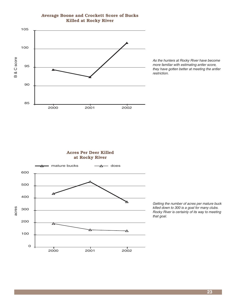

#### **Average Boone and Crockett Score of Bucks Killed at Rocky River**

As the hunters at Rocky River have become more familiar with estimating antler score, they have gotten better at meeting the antler restriction.



Getting the number of acres per mature buck killed down to 300 is a goal for many clubs. Rocky River is certainly of its way to meeting that goal.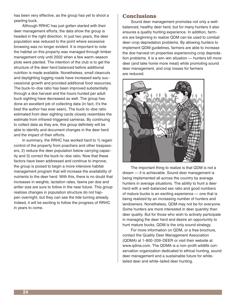has been very effective, as the group has yet to shoot a yearling buck.

Although RRHC has just gotten started with their deer management efforts, the data show the group is headed in the right direction. In just two years, the deer population was reduced to the point where excessive browsing was no longer evident. It is important to note the habitat on this property was managed through timber management only until 2002 when a few warm-season plots were planted. The intention of the club is to get the structure of the deer herd balanced before additional nutrition is made available. Nonetheless, small clearcuts and daylighting logging roads have increased early successional growth and provided additional food resources. The buck-to-doe ratio has been improved substantially through a doe harvest and the hours hunted per adult buck sighting have decreased as well. The group has done an excellent job of collecting data (in fact, it's the best the author has ever seen). The buck-to-doe ratio estimated from deer sighting cards closely resembles the estimate from infrared-triggered cameras. By continuing to collect data as they are, this group definitely will be able to identify and document changes in the deer herd and the impact of their efforts.

In summary, the RRHC has worked hard to 1) regain control of the property from poachers and other trespassers, 2) reduce the deer population below carrying capacity and 3) correct the buck-to-doe ratio. Now that these factors have been addressed and continue to improve, the group is poised to begin a more intensive habitat management program that will increase the availability of nutrients to the deer herd. With this, there is no doubt that increases in weights, lactation rates, fawns per doe and antler size are sure to follow in the near future. This group realizes changes in population structure do not happen overnight, but they can see the tide turning already. Indeed, it will be exciting to follow the progress of RRHC in years to come.

#### **Conclusions**

Sound deer management promotes not only a wellbalanced, healthy deer herd, but for many hunters it also ensures a quality hunting experience. In addition, farmers are beginning to realize QDM can be used to combat deer-crop depredation problems. By allowing hunters to implement QDM guidelines, farmers are able to increase the doe harvest on properties experiencing crop depredation problems. It is a win-win situation — hunters kill more deer (and take home more meat) while promoting sound deer management, and crop losses for farmers are reduced.



The important thing to realize is that QDM is not a dream — it is achievable. Sound deer management is being implemented all across the country by average hunters in average situations. The ability to hunt a deer herd with a well-balanced sex ratio and good numbers of mature bucks is an exciting experience — one that is being realized by an increasing number of hunters and landowners. Nonetheless, QDM may not be for everyone. Some hunters are more interested in deer quantity than deer quality. But for those who wish to actively participate in managing the deer herd and desire an opportunity to hunt mature bucks, QDM is the only sound strategy.

For more information on QDM, or a free brochure, contact the Quality Deer Management Association (QDMA) at 1-800-209-DEER or visit their website at www.qdma.com. The QDMA is a non-profit wildlife conservation organization dedicated to ethical hunting, sound deer management and a sustainable future for whitetailed deer and white-tailed deer hunting.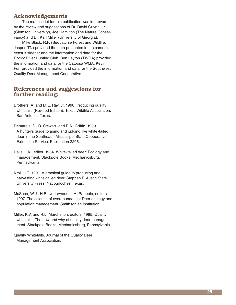#### **Acknowledgements**

The manuscript for this publication was improved by the review and suggestions of Dr. David Guynn, Jr. (Clemson University), Joe Hamilton (The Nature Conservancy) and Dr. Karl Miller (University of Georgia).

Mike Black, R.F. (Sequatchie Forest and Wildlife, Jasper, TN) provided the data presented in the camera census sidebar and the information and data for the Rocky River Hunting Club. Ben Layton (TWRA) provided the information and data for the Catoosa WMA. Kevin Furr provided the information and data for the Southwest Quality Deer Management Cooperative.

#### **References and suggestions for further reading:**

- Brothers, A. and M.E. Ray, Jr. 1998. Producing quality whitetails (Revised Edition). Texas Wildlife Association, San Antonio, Texas.
- Demarais, S., D. Stewart, and R.N. Griffin. 1999. A hunter's guide to aging and judging live white-tailed deer in the Southeast. Mississippi State Cooperative Extension Service, Publication 2206.
- Halls, L.K., editor. 1984. White-tailed deer: Ecology and management. Stackpole Books, Mechanicsburg, Pennsylvania.
- Kroll, J.C. 1991. A practical guide to producing and harvesting white-tailed deer. Stephen F. Austin State University Press, Nacogdoches, Texas.
- McShea, W.J., H.B. Underwood, J.H. Rappole, editors. 1997. The science of overabundance: Deer ecology and population management. Smithsonian Institution.
- Miller, K.V. and R.L. Marchinton, editors. 1995. Quality whitetails: The how and why of quality deer manage ment. Stackpole Books, Mechanicsburg, Pennsylvania.

Quality Whitetails. Journal of the Quality Deer Management Association.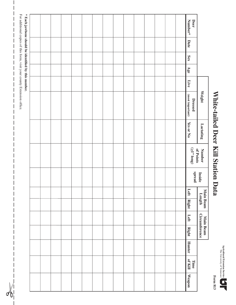| <b>gricultural Extension Servic</b><br>The University of Tennesse |  |
|-------------------------------------------------------------------|--|
|                                                                   |  |
|                                                                   |  |

**Form 813**

# White-tailed Deer Kill Station Data **White-tailed Deer Kill Station Data**

|                                                                                                                                |      |            |     |      | Weight                      | Lactating | <b>Number</b>                 |                  |      | Main Beam              | Main Beam             |              |               |                 |        |  |
|--------------------------------------------------------------------------------------------------------------------------------|------|------------|-----|------|-----------------------------|-----------|-------------------------------|------------------|------|------------------------|-----------------------|--------------|---------------|-----------------|--------|--|
| Number*<br><b>Deer</b>                                                                                                         | Date | <b>Sex</b> | Age | Live | (most important)<br>Dressed | Yes or No | $(\leq 1"$ long)<br>of Points | spread<br>Inside | Left | Length<br><b>Right</b> | Circumference<br>Left | <b>Right</b> | <b>Hunter</b> | Of Kill<br>Time | Weapon |  |
|                                                                                                                                |      |            |     |      |                             |           |                               |                  |      |                        |                       |              |               |                 |        |  |
|                                                                                                                                |      |            |     |      |                             |           |                               |                  |      |                        |                       |              |               |                 |        |  |
|                                                                                                                                |      |            |     |      |                             |           |                               |                  |      |                        |                       |              |               |                 |        |  |
|                                                                                                                                |      |            |     |      |                             |           |                               |                  |      |                        |                       |              |               |                 |        |  |
|                                                                                                                                |      |            |     |      |                             |           |                               |                  |      |                        |                       |              |               |                 |        |  |
|                                                                                                                                |      |            |     |      |                             |           |                               |                  |      |                        |                       |              |               |                 |        |  |
|                                                                                                                                |      |            |     |      |                             |           |                               |                  |      |                        |                       |              |               |                 |        |  |
|                                                                                                                                |      |            |     |      |                             |           |                               |                  |      |                        |                       |              |               |                 |        |  |
|                                                                                                                                |      |            |     |      |                             |           |                               |                  |      |                        |                       |              |               |                 |        |  |
|                                                                                                                                |      |            |     |      |                             |           |                               |                  |      |                        |                       |              |               |                 |        |  |
|                                                                                                                                |      |            |     |      |                             |           |                               |                  |      |                        |                       |              |               |                 |        |  |
|                                                                                                                                |      |            |     |      |                             |           |                               |                  |      |                        |                       |              |               |                 |        |  |
|                                                                                                                                |      |            |     |      |                             |           |                               |                  |      |                        |                       |              |               |                 |        |  |
|                                                                                                                                |      |            |     |      |                             |           |                               |                  |      |                        |                       |              |               |                 |        |  |
|                                                                                                                                |      |            |     |      |                             |           |                               |                  |      |                        |                       |              |               |                 |        |  |
| For additional copies of this form, visit your county Extension office.<br>* Each jawbone should be identified by this number. |      |            |     |      |                             |           |                               |                  |      |                        |                       |              |               |                 |        |  |

 $\mathbf{I}$  $\overline{\phantom{a}}$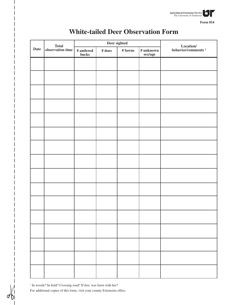

**Form 814**

|      |                           |                                                                   |           | Deer sighted |                      |                                                                                  |
|------|---------------------------|-------------------------------------------------------------------|-----------|--------------|----------------------|----------------------------------------------------------------------------------|
| Date | Total<br>observation time | $\begin{array}{c} \text{\# antlered} \\ \text{bucks} \end{array}$ | $\#$ does | $\#$ fawns   | # unknown<br>sex/age | $\begin{array}{c} \text{Location/} \\ \text{behavior/comments} \ ^1 \end{array}$ |
|      |                           |                                                                   |           |              |                      |                                                                                  |
|      |                           |                                                                   |           |              |                      |                                                                                  |
|      |                           |                                                                   |           |              |                      |                                                                                  |
|      |                           |                                                                   |           |              |                      |                                                                                  |
|      |                           |                                                                   |           |              |                      |                                                                                  |
|      |                           |                                                                   |           |              |                      |                                                                                  |
|      |                           |                                                                   |           |              |                      |                                                                                  |
|      |                           |                                                                   |           |              |                      |                                                                                  |
|      |                           |                                                                   |           |              |                      |                                                                                  |
|      |                           |                                                                   |           |              |                      |                                                                                  |
|      |                           |                                                                   |           |              |                      |                                                                                  |
|      |                           |                                                                   |           |              |                      |                                                                                  |
|      |                           |                                                                   |           |              |                      |                                                                                  |
|      |                           |                                                                   |           |              |                      |                                                                                  |
|      |                           |                                                                   |           |              |                      |                                                                                  |
|      |                           |                                                                   |           |              |                      |                                                                                  |
|      |                           |                                                                   |           |              |                      |                                                                                  |

## **White-tailed Deer Observation Form**

<sup>1</sup> In woods? In field? Crossing road? If doe, was fawn with her? For additional copies of this form, visit your county Extension office.